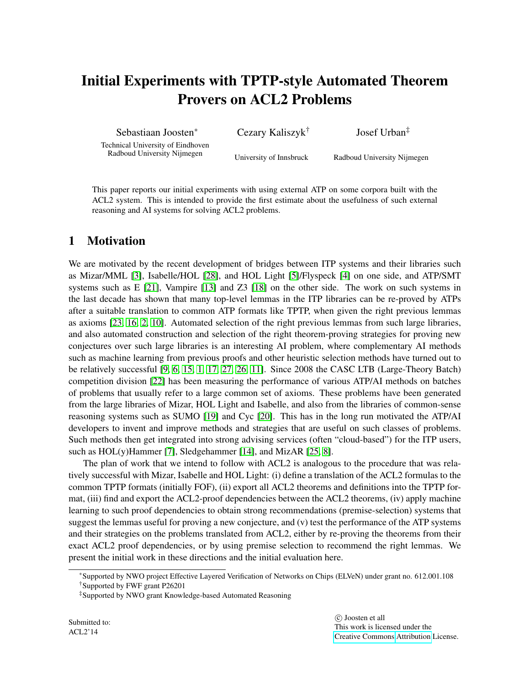# Initial Experiments with TPTP-style Automated Theorem Provers on ACL2 Problems

Sebastiaan Joosten<sup>∗</sup>

Cezary Kaliszyk†

Josef Urban‡

Technical University of Eindhoven Radboud University Nijmegen

University of Innsbruck

Radboud University Nijmegen

This paper reports our initial experiments with using external ATP on some corpora built with the ACL2 system. This is intended to provide the first estimate about the usefulness of such external reasoning and AI systems for solving ACL2 problems.

# 1 Motivation

We are motivated by the recent development of bridges between ITP systems and their libraries such as Mizar/MML [\[3\]](#page-7-0), Isabelle/HOL [\[28\]](#page-8-0), and HOL Light [\[5\]](#page-7-1)/Flyspeck [\[4\]](#page-7-2) on one side, and ATP/SMT systems such as E [\[21\]](#page-8-1), Vampire [\[13\]](#page-7-3) and Z3 [\[18\]](#page-8-2) on the other side. The work on such systems in the last decade has shown that many top-level lemmas in the ITP libraries can be re-proved by ATPs after a suitable translation to common ATP formats like TPTP, when given the right previous lemmas as axioms [\[23,](#page-8-3) [16,](#page-7-4) [2,](#page-7-5) [10\]](#page-7-6). Automated selection of the right previous lemmas from such large libraries, and also automated construction and selection of the right theorem-proving strategies for proving new conjectures over such large libraries is an interesting AI problem, where complementary AI methods such as machine learning from previous proofs and other heuristic selection methods have turned out to be relatively successful [\[9,](#page-7-7) [6,](#page-7-8) [15,](#page-7-9) [1,](#page-6-0) [17,](#page-7-10) [27,](#page-8-4) [26,](#page-8-5) [11\]](#page-7-11). Since 2008 the CASC LTB (Large-Theory Batch) competition division [\[22\]](#page-8-6) has been measuring the performance of various ATP/AI methods on batches of problems that usually refer to a large common set of axioms. These problems have been generated from the large libraries of Mizar, HOL Light and Isabelle, and also from the libraries of common-sense reasoning systems such as SUMO [\[19\]](#page-8-7) and Cyc [\[20\]](#page-8-8). This has in the long run motivated the ATP/AI developers to invent and improve methods and strategies that are useful on such classes of problems. Such methods then get integrated into strong advising services (often "cloud-based") for the ITP users, such as HOL(y)Hammer [\[7\]](#page-7-12), Sledgehammer [\[14\]](#page-7-13), and MizAR [\[25,](#page-8-9) [8\]](#page-7-14).

The plan of work that we intend to follow with ACL2 is analogous to the procedure that was relatively successful with Mizar, Isabelle and HOL Light: (i) define a translation of the ACL2 formulas to the common TPTP formats (initially FOF), (ii) export all ACL2 theorems and definitions into the TPTP format, (iii) find and export the ACL2-proof dependencies between the ACL2 theorems, (iv) apply machine learning to such proof dependencies to obtain strong recommendations (premise-selection) systems that suggest the lemmas useful for proving a new conjecture, and (v) test the performance of the ATP systems and their strategies on the problems translated from ACL2, either by re-proving the theorems from their exact ACL2 proof dependencies, or by using premise selection to recommend the right lemmas. We present the initial work in these directions and the initial evaluation here.

 c Joosten et all This work is licensed under the [Creative Commons](http://creativecommons.org) [Attribution](http://creativecommons.org/licenses/by/3.0/) License.

<sup>∗</sup>Supported by NWO project Effective Layered Verification of Networks on Chips (ELVeN) under grant no. 612.001.108 †Supported by FWF grant P26201

<sup>‡</sup>Supported by NWO grant Knowledge-based Automated Reasoning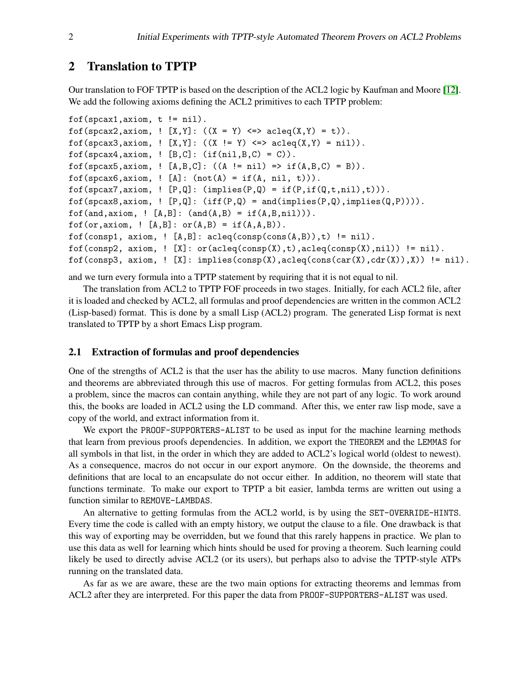## 2 Translation to TPTP

Our translation to FOF TPTP is based on the description of the ACL2 logic by Kaufman and Moore [\[12\]](#page-7-15). We add the following axioms defining the ACL2 primitives to each TPTP problem:

```
f \circ f(spcax1, axiom, t != nil).
fof(spcax2,axiom, ! [X, Y]: ((X = Y) \iff \text{acleq}(X, Y) = t)).
fof(spcax3,axiom, ! [X, Y]: ((X \mid = Y) \iff \text{acleq}(X, Y) = \text{nil})).
f \circ f(spcax4,axiom, ! [B, C]: (if(nil,B,C) = C)).
fof(spcax5,axiom, ! [A, B, C]: ((A \neq nil) \Rightarrow if(A, B, C) = B)).
f \circ f(spcax6,axiom, ! [A]: (\text{not}(A) = \text{if}(A, \text{nil}, t))).
f \circ f(spcax7,axiom, ! [P,Q]: (implies(P,Q) = if(P,if(Q,t,nil),t))).
fof(spcax8,axiom, ! [P,Q]: (iff(P,Q) = and(implies(P,Q),implies(Q,P)))).
f \circ f(and,axiom, ! [A,B]: (and(A,B) = if(A,B,nil))).
f \circ f (or, axiom, ! [A,B]: \circ r(A,B) = if(A,A,B)).
fof(consp1, axiom, ! [A,B]: acleq(consp(cons(A,B)),t) != nil).
f \circ f(consp2, axiom, ! [X]: \circ r(acleq(consp(X),t),acleq(consp(X),nil)) != nil).
fof(consp3, axiom, ! [X]: implies(consp(X),acleq(cons(car(X),cdr(X)),X)) != nil).
```
and we turn every formula into a TPTP statement by requiring that it is not equal to nil.

The translation from ACL2 to TPTP FOF proceeds in two stages. Initially, for each ACL2 file, after it is loaded and checked by ACL2, all formulas and proof dependencies are written in the common ACL2 (Lisp-based) format. This is done by a small Lisp (ACL2) program. The generated Lisp format is next translated to TPTP by a short Emacs Lisp program.

#### 2.1 Extraction of formulas and proof dependencies

One of the strengths of ACL2 is that the user has the ability to use macros. Many function definitions and theorems are abbreviated through this use of macros. For getting formulas from ACL2, this poses a problem, since the macros can contain anything, while they are not part of any logic. To work around this, the books are loaded in ACL2 using the LD command. After this, we enter raw lisp mode, save a copy of the world, and extract information from it.

We export the PROOF-SUPPORTERS-ALIST to be used as input for the machine learning methods that learn from previous proofs dependencies. In addition, we export the THEOREM and the LEMMAS for all symbols in that list, in the order in which they are added to ACL2's logical world (oldest to newest). As a consequence, macros do not occur in our export anymore. On the downside, the theorems and definitions that are local to an encapsulate do not occur either. In addition, no theorem will state that functions terminate. To make our export to TPTP a bit easier, lambda terms are written out using a function similar to REMOVE-LAMBDAS.

An alternative to getting formulas from the ACL2 world, is by using the SET-OVERRIDE-HINTS. Every time the code is called with an empty history, we output the clause to a file. One drawback is that this way of exporting may be overridden, but we found that this rarely happens in practice. We plan to use this data as well for learning which hints should be used for proving a theorem. Such learning could likely be used to directly advise ACL2 (or its users), but perhaps also to advise the TPTP-style ATPs running on the translated data.

As far as we are aware, these are the two main options for extracting theorems and lemmas from ACL2 after they are interpreted. For this paper the data from PROOF-SUPPORTERS-ALIST was used.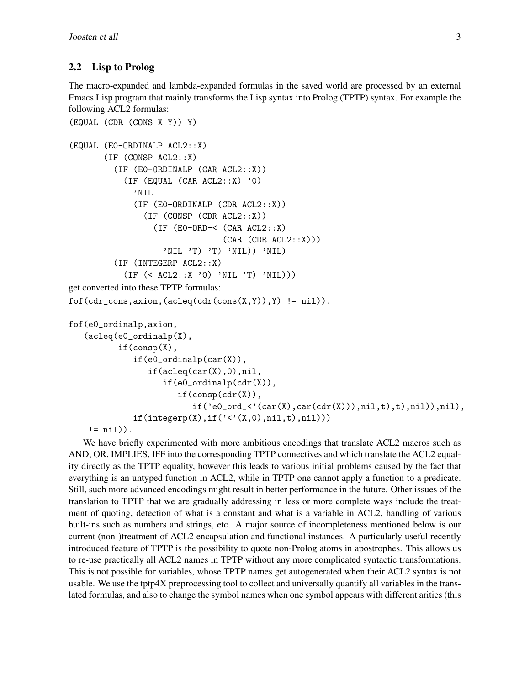#### 2.2 Lisp to Prolog

The macro-expanded and lambda-expanded formulas in the saved world are processed by an external Emacs Lisp program that mainly transforms the Lisp syntax into Prolog (TPTP) syntax. For example the following ACL2 formulas:

```
(EQUAL (CDR (CONS X Y)) Y)
(EQUAL (E0-ORDINALP ACL2::X)
       (IF (CONSP ACL2::X)
          (IF (E0-ORDINALP (CAR ACL2::X))
            (IF (EQUAL (CAR ACL2::X) '0)
              'NIL
              (IF (E0-ORDINALP (CDR ACL2::X))
                (IF (CONSP (CDR ACL2::X))
                  (IF (E0-ORD-< (CAR ACL2::X)
                                  (CAR (CDR ACL2::X)))'NIL 'T) 'T) 'NIL)) 'NIL)
          (IF (INTEGERP ACL2::X)
            (IF (< ACL2::X '0) 'NIL 'T) 'NIL)))
get converted into these TPTP formulas:
f \circ f (cdr_{cons,axiom,}(acleq(cdr(cos(X,Y)),Y)) := nil)).fof(e0_ordinalp,axiom,
   (acleq(e0_ordinalp(X),
          if(consp(X),
              if(e0_ordinalp(car(X)),
                 if(acleq(car(X), 0), nil,if(e0_ordinalp(cdr(X)),
                        if(consp(cdr(X)),
                           if('e0_{\text{ord}\text{-}}\langle'(car(X),car(cdr(X))),nil, t),nil)),nil),if(integerp(X), if('<< ' (X, 0), nil, t), nil)))!=nil)).
```
We have briefly experimented with more ambitious encodings that translate ACL2 macros such as AND, OR, IMPLIES, IFF into the corresponding TPTP connectives and which translate the ACL2 equality directly as the TPTP equality, however this leads to various initial problems caused by the fact that everything is an untyped function in ACL2, while in TPTP one cannot apply a function to a predicate. Still, such more advanced encodings might result in better performance in the future. Other issues of the translation to TPTP that we are gradually addressing in less or more complete ways include the treatment of quoting, detection of what is a constant and what is a variable in ACL2, handling of various built-ins such as numbers and strings, etc. A major source of incompleteness mentioned below is our current (non-)treatment of ACL2 encapsulation and functional instances. A particularly useful recently introduced feature of TPTP is the possibility to quote non-Prolog atoms in apostrophes. This allows us to re-use practically all ACL2 names in TPTP without any more complicated syntactic transformations. This is not possible for variables, whose TPTP names get autogenerated when their ACL2 syntax is not usable. We use the tptp4X preprocessing tool to collect and universally quantify all variables in the translated formulas, and also to change the symbol names when one symbol appears with different arities (this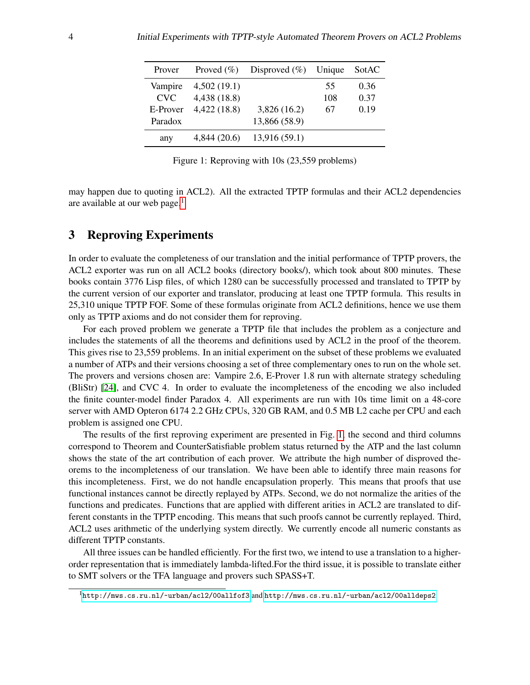<span id="page-3-1"></span>

| Prover   | Proved $(\% )$ | Disproved $(\%)$ Unique |     | SotAC |
|----------|----------------|-------------------------|-----|-------|
| Vampire  | 4,502(19.1)    |                         | 55  | 0.36  |
| CVC.     | 4,438 (18.8)   |                         | 108 | 0.37  |
| E-Prover | 4,422(18.8)    | 3,826(16.2)             | 67  | 0.19  |
| Paradox  |                | 13,866 (58.9)           |     |       |
| any      | 4,844(20.6)    | 13,916(59.1)            |     |       |

Figure 1: Reproving with 10s (23,559 problems)

may happen due to quoting in ACL2). All the extracted TPTP formulas and their ACL2 dependencies are available at our web page. $<sup>1</sup>$  $<sup>1</sup>$  $<sup>1</sup>$ </sup>

# <span id="page-3-2"></span>3 Reproving Experiments

In order to evaluate the completeness of our translation and the initial performance of TPTP provers, the ACL2 exporter was run on all ACL2 books (directory books/), which took about 800 minutes. These books contain 3776 Lisp files, of which 1280 can be successfully processed and translated to TPTP by the current version of our exporter and translator, producing at least one TPTP formula. This results in 25,310 unique TPTP FOF. Some of these formulas originate from ACL2 definitions, hence we use them only as TPTP axioms and do not consider them for reproving.

For each proved problem we generate a TPTP file that includes the problem as a conjecture and includes the statements of all the theorems and definitions used by ACL2 in the proof of the theorem. This gives rise to 23,559 problems. In an initial experiment on the subset of these problems we evaluated a number of ATPs and their versions choosing a set of three complementary ones to run on the whole set. The provers and versions chosen are: Vampire 2.6, E-Prover 1.8 run with alternate strategy scheduling (BliStr) [\[24\]](#page-8-10), and CVC 4. In order to evaluate the incompleteness of the encoding we also included the finite counter-model finder Paradox 4. All experiments are run with 10s time limit on a 48-core server with AMD Opteron 6174 2.2 GHz CPUs, 320 GB RAM, and 0.5 MB L2 cache per CPU and each problem is assigned one CPU.

The results of the first reproving experiment are presented in Fig. [1,](#page-3-1) the second and third columns correspond to Theorem and CounterSatisfiable problem status returned by the ATP and the last column shows the state of the art contribution of each prover. We attribute the high number of disproved theorems to the incompleteness of our translation. We have been able to identify three main reasons for this incompleteness. First, we do not handle encapsulation properly. This means that proofs that use functional instances cannot be directly replayed by ATPs. Second, we do not normalize the arities of the functions and predicates. Functions that are applied with different arities in ACL2 are translated to different constants in the TPTP encoding. This means that such proofs cannot be currently replayed. Third, ACL2 uses arithmetic of the underlying system directly. We currently encode all numeric constants as different TPTP constants.

All three issues can be handled efficiently. For the first two, we intend to use a translation to a higherorder representation that is immediately lambda-lifted.For the third issue, it is possible to translate either to SMT solvers or the TFA language and provers such SPASS+T.

<span id="page-3-0"></span><sup>1</sup><http://mws.cs.ru.nl/~urban/acl2/00allfof3> and <http://mws.cs.ru.nl/~urban/acl2/00alldeps2>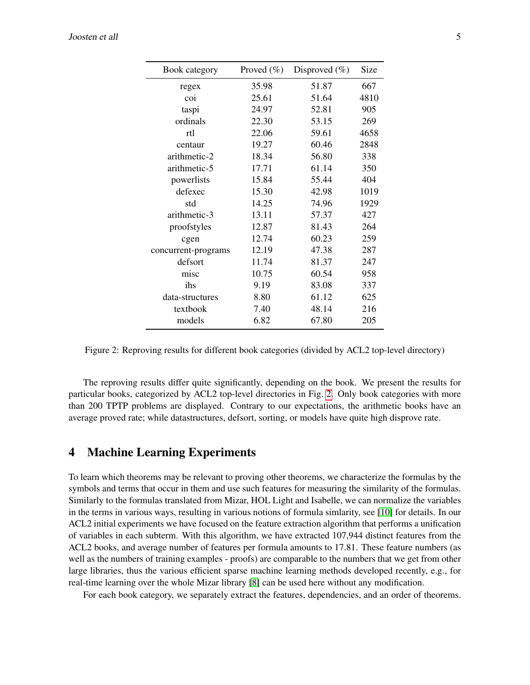<span id="page-4-0"></span>

| Book category       | Proved $(\%)$ | Disproved $(\% )$ | Size |
|---------------------|---------------|-------------------|------|
| regex               | 35.98         | 51.87             | 667  |
| coi                 | 25.61         | 51.64             | 4810 |
| taspi               | 24.97         | 52.81             | 905  |
| ordinals            | 22.30         | 53.15             | 269  |
| rtl                 | 22.06         | 59.61             | 4658 |
| centaur             | 19.27         | 60.46             | 2848 |
| arithmetic-2        | 18.34         | 56.80             | 338  |
| arithmetic-5        | 17.71         | 61.14             | 350  |
| powerlists          | 15.84         | 55.44             | 404  |
| defexec             | 15.30         | 42.98             | 1019 |
| std                 | 14.25         | 74.96             | 1929 |
| arithmetic-3        | 13.11         | 57.37             | 427  |
| proofstyles         | 12.87         | 81.43             | 264  |
| cgen                | 12.74         | 60.23             | 259  |
| concurrent-programs | 12.19         | 47.38             | 287  |
| defsort             | 11.74         | 81.37             | 247  |
| misc                | 10.75         | 60.54             | 958  |
| ihs                 | 9.19          | 83.08             | 337  |
| data-structures     | 8.80          | 61.12             | 625  |
| textbook            | 7.40          | 48.14             | 216  |
| models              | 6.82          | 67.80             | 205  |

Figure 2: Reproving results for different book categories (divided by ACL2 top-level directory)

The reproving results differ quite significantly, depending on the book. We present the results for particular books, categorized by ACL2 top-level directories in Fig. [2.](#page-4-0) Only book categories with more than 200 TPTP problems are displayed. Contrary to our expectations, the arithmetic books have an average proved rate; while datastructures, defsort, sorting, or models have quite high disprove rate.

#### 4 Machine Learning Experiments

To learn which theorems may be relevant to proving other theorems, we characterize the formulas by the symbols and terms that occur in them and use such features for measuring the similarity of the formulas. Similarly to the formulas translated from Mizar, HOL Light and Isabelle, we can normalize the variables in the terms in various ways, resulting in various notions of formula simlarity, see [\[10\]](#page-7-6) for details. In our ACL2 initial experiments we have focused on the feature extraction algorithm that performs a unification of variables in each subterm. With this algorithm, we have extracted 107,944 distinct features from the ACL2 books, and average number of features per formula amounts to 17.81. These feature numbers (as well as the numbers of training examples - proofs) are comparable to the numbers that we get from other large libraries, thus the various efficient sparse machine learning methods developed recently, e.g., for real-time learning over the whole Mizar library [\[8\]](#page-7-14) can be used here without any modification.

For each book category, we separately extract the features, dependencies, and an order of theorems.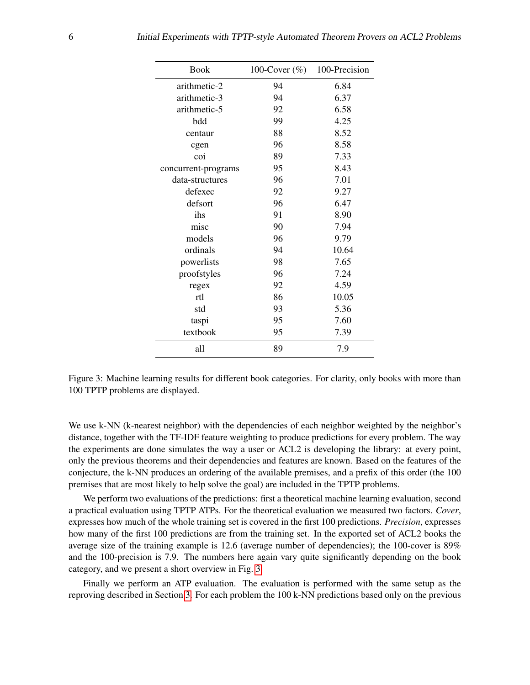<span id="page-5-0"></span>

| <b>Book</b>         | 100-Cover $(\%)$ | 100-Precision |  |
|---------------------|------------------|---------------|--|
| arithmetic-2        | 94               | 6.84          |  |
| arithmetic-3        | 94               | 6.37          |  |
| arithmetic-5        | 92               | 6.58          |  |
| bdd                 | 99               | 4.25          |  |
| centaur             | 88               | 8.52          |  |
| cgen                | 96               | 8.58          |  |
| coi                 | 89               | 7.33          |  |
| concurrent-programs | 95               | 8.43          |  |
| data-structures     | 96               | 7.01          |  |
| defexec             | 92               | 9.27          |  |
| defsort             | 96               | 6.47          |  |
| ihs                 | 91               | 8.90          |  |
| misc                | 90               | 7.94          |  |
| models              | 96               | 9.79          |  |
| ordinals            | 94               | 10.64         |  |
| powerlists          | 98               | 7.65          |  |
| proofstyles         | 96               | 7.24          |  |
| regex               | 92               | 4.59          |  |
| rtl                 | 86               | 10.05         |  |
| std                 | 93               | 5.36          |  |
| taspi               | 95               | 7.60          |  |
| textbook            | 95               | 7.39          |  |
| all                 | 89               | 7.9           |  |

Figure 3: Machine learning results for different book categories. For clarity, only books with more than 100 TPTP problems are displayed.

We use k-NN (k-nearest neighbor) with the dependencies of each neighbor weighted by the neighbor's distance, together with the TF-IDF feature weighting to produce predictions for every problem. The way the experiments are done simulates the way a user or ACL2 is developing the library: at every point, only the previous theorems and their dependencies and features are known. Based on the features of the conjecture, the k-NN produces an ordering of the available premises, and a prefix of this order (the 100 premises that are most likely to help solve the goal) are included in the TPTP problems.

We perform two evaluations of the predictions: first a theoretical machine learning evaluation, second a practical evaluation using TPTP ATPs. For the theoretical evaluation we measured two factors. *Cover*, expresses how much of the whole training set is covered in the first 100 predictions. *Precision*, expresses how many of the first 100 predictions are from the training set. In the exported set of ACL2 books the average size of the training example is 12.6 (average number of dependencies); the 100-cover is 89% and the 100-precision is 7.9. The numbers here again vary quite significantly depending on the book category, and we present a short overview in Fig. [3.](#page-5-0)

Finally we perform an ATP evaluation. The evaluation is performed with the same setup as the reproving described in Section [3.](#page-3-2) For each problem the 100 k-NN predictions based only on the previous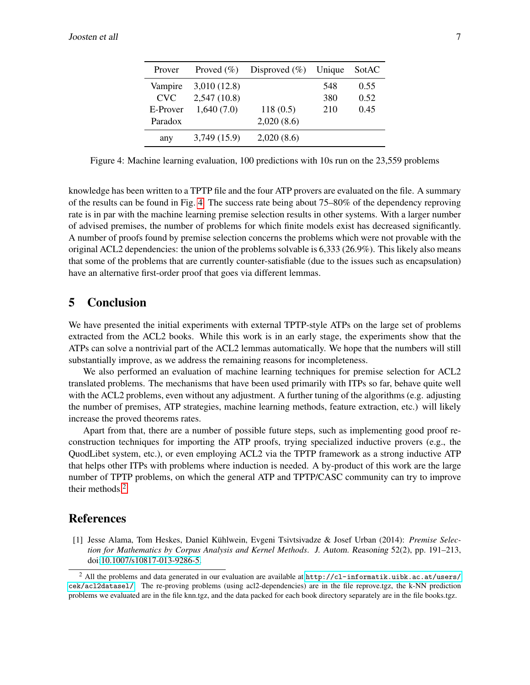<span id="page-6-1"></span>

| Prover     | Proved $(\% )$ | Disproved $(\%)$ Unique |     | SotAC |
|------------|----------------|-------------------------|-----|-------|
| Vampire    | 3,010(12.8)    |                         | 548 | 0.55  |
| <b>CVC</b> | 2,547(10.8)    |                         | 380 | 0.52  |
| E-Prover   | 1,640(7.0)     | 118(0.5)                | 210 | 0.45  |
| Paradox    |                | 2,020(8.6)              |     |       |
| any        | 3,749 (15.9)   | 2,020(8.6)              |     |       |

Figure 4: Machine learning evaluation, 100 predictions with 10s run on the 23,559 problems

knowledge has been written to a TPTP file and the four ATP provers are evaluated on the file. A summary of the results can be found in Fig. [4.](#page-6-1) The success rate being about 75–80% of the dependency reproving rate is in par with the machine learning premise selection results in other systems. With a larger number of advised premises, the number of problems for which finite models exist has decreased significantly. A number of proofs found by premise selection concerns the problems which were not provable with the original ACL2 dependencies: the union of the problems solvable is 6,333 (26.9%). This likely also means that some of the problems that are currently counter-satisfiable (due to the issues such as encapsulation) have an alternative first-order proof that goes via different lemmas.

#### 5 Conclusion

We have presented the initial experiments with external TPTP-style ATPs on the large set of problems extracted from the ACL2 books. While this work is in an early stage, the experiments show that the ATPs can solve a nontrivial part of the ACL2 lemmas automatically. We hope that the numbers will still substantially improve, as we address the remaining reasons for incompleteness.

We also performed an evaluation of machine learning techniques for premise selection for ACL2 translated problems. The mechanisms that have been used primarily with ITPs so far, behave quite well with the ACL2 problems, even without any adjustment. A further tuning of the algorithms (e.g. adjusting the number of premises, ATP strategies, machine learning methods, feature extraction, etc.) will likely increase the proved theorems rates.

Apart from that, there are a number of possible future steps, such as implementing good proof reconstruction techniques for importing the ATP proofs, trying specialized inductive provers (e.g., the QuodLibet system, etc.), or even employing ACL2 via the TPTP framework as a strong inductive ATP that helps other ITPs with problems where induction is needed. A by-product of this work are the large number of TPTP problems, on which the general ATP and TPTP/CASC community can try to improve their methods.[2](#page-6-2)

### References

<span id="page-6-0"></span>[1] Jesse Alama, Tom Heskes, Daniel Kuhlwein, Evgeni Tsivtsivadze & Josef Urban (2014): ¨ *Premise Selection for Mathematics by Corpus Analysis and Kernel Methods*. J. Autom. Reasoning 52(2), pp. 191–213, doi[:10.1007/s10817-013-9286-5.](http://dx.doi.org/10.1007/s10817-013-9286-5)

<span id="page-6-2"></span><sup>&</sup>lt;sup>2</sup> All the problems and data generated in our evaluation are available at  $http://cl-informatik.uibk.ac.at/users/$ [cek/acl2datasel/](http://cl-informatik.uibk.ac.at/users/cek/acl2datasel/). The re-proving problems (using acl2-dependencies) are in the file reprove.tgz, the k-NN prediction problems we evaluated are in the file knn.tgz, and the data packed for each book directory separately are in the file books.tgz.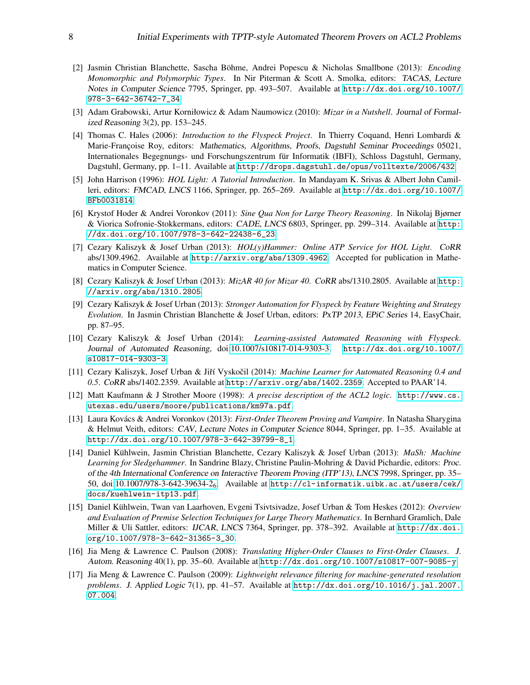- <span id="page-7-5"></span>[2] Jasmin Christian Blanchette, Sascha Böhme, Andrei Popescu & Nicholas Smallbone (2013): *Encoding Monomorphic and Polymorphic Types*. In Nir Piterman & Scott A. Smolka, editors: TACAS, Lecture Notes in Computer Science 7795, Springer, pp. 493–507. Available at [http://dx.doi.org/10.1007/](http://dx.doi.org/10.1007/978-3-642-36742-7_34) [978-3-642-36742-7\\_34](http://dx.doi.org/10.1007/978-3-642-36742-7_34).
- <span id="page-7-0"></span>[3] Adam Grabowski, Artur Korniłowicz & Adam Naumowicz (2010): *Mizar in a Nutshell*. Journal of Formalized Reasoning 3(2), pp. 153–245.
- <span id="page-7-2"></span>[4] Thomas C. Hales (2006): *Introduction to the Flyspeck Project*. In Thierry Coquand, Henri Lombardi & Marie-Françoise Roy, editors: Mathematics, Algorithms, Proofs, Dagstuhl Seminar Proceedings 05021, Internationales Begegnungs- und Forschungszentrum für Informatik (IBFI), Schloss Dagstuhl, Germany, Dagstuhl, Germany, pp. 1–11. Available at <http://drops.dagstuhl.de/opus/volltexte/2006/432>.
- <span id="page-7-1"></span>[5] John Harrison (1996): *HOL Light: A Tutorial Introduction*. In Mandayam K. Srivas & Albert John Camilleri, editors: FMCAD, LNCS 1166, Springer, pp. 265–269. Available at [http://dx.doi.org/10.1007/](http://dx.doi.org/10.1007/BFb0031814) [BFb0031814](http://dx.doi.org/10.1007/BFb0031814).
- <span id="page-7-8"></span>[6] Krystof Hoder & Andrei Voronkov (2011): *Sine Qua Non for Large Theory Reasoning*. In Nikolaj Bjørner & Viorica Sofronie-Stokkermans, editors: CADE, LNCS 6803, Springer, pp. 299–314. Available at [http:](http://dx.doi.org/10.1007/978-3-642-22438-6_23) [//dx.doi.org/10.1007/978-3-642-22438-6\\_23](http://dx.doi.org/10.1007/978-3-642-22438-6_23).
- <span id="page-7-12"></span>[7] Cezary Kaliszyk & Josef Urban (2013): *HOL(y)Hammer: Online ATP Service for HOL Light*. CoRR abs/1309.4962. Available at <http://arxiv.org/abs/1309.4962>. Accepted for publication in Mathematics in Computer Science.
- <span id="page-7-14"></span>[8] Cezary Kaliszyk & Josef Urban (2013): *MizAR 40 for Mizar 40*. CoRR abs/1310.2805. Available at [http:](http://arxiv.org/abs/1310.2805) [//arxiv.org/abs/1310.2805](http://arxiv.org/abs/1310.2805).
- <span id="page-7-7"></span>[9] Cezary Kaliszyk & Josef Urban (2013): *Stronger Automation for Flyspeck by Feature Weighting and Strategy Evolution*. In Jasmin Christian Blanchette & Josef Urban, editors: PxTP 2013, EPiC Series 14, EasyChair, pp. 87–95.
- <span id="page-7-6"></span>[10] Cezary Kaliszyk & Josef Urban (2014): *Learning-assisted Automated Reasoning with Flyspeck*. Journal of Automated Reasoning, doi[:10.1007/s10817-014-9303-3.](http://dx.doi.org/10.1007/s10817-014-9303-3) [http://dx.doi.org/10.1007/](http://dx.doi.org/10.1007/s10817-014-9303-3) [s10817-014-9303-3](http://dx.doi.org/10.1007/s10817-014-9303-3).
- <span id="page-7-11"></span>[11] Cezary Kaliszyk, Josef Urban & Jiˇr´ı Vyskocil (2014): ˇ *Machine Learner for Automated Reasoning 0.4 and 0.5*. CoRR abs/1402.2359. Available at <http://arxiv.org/abs/1402.2359>. Accepted to PAAR'14.
- <span id="page-7-15"></span>[12] Matt Kaufmann & J Strother Moore (1998): *A precise description of the ACL2 logic*. [http://www.cs.](http://www.cs.utexas.edu/users/moore/publications/km97a.pdf) [utexas.edu/users/moore/publications/km97a.pdf](http://www.cs.utexas.edu/users/moore/publications/km97a.pdf).
- <span id="page-7-3"></span>[13] Laura Kovács & Andrei Voronkov (2013): *First-Order Theorem Proving and Vampire*. In Natasha Sharygina & Helmut Veith, editors: CAV, Lecture Notes in Computer Science 8044, Springer, pp. 1–35. Available at [http://dx.doi.org/10.1007/978-3-642-39799-8\\_1](http://dx.doi.org/10.1007/978-3-642-39799-8_1).
- <span id="page-7-13"></span>[14] Daniel Kühlwein, Jasmin Christian Blanchette, Cezary Kaliszyk & Josef Urban (2013): *MaSh: Machine Learning for Sledgehammer*. In Sandrine Blazy, Christine Paulin-Mohring & David Pichardie, editors: Proc. of the 4th International Conference on Interactive Theorem Proving (ITP'13), LNCS 7998, Springer, pp. 35– 50, doi[:10.1007/978-3-642-39634-2](http://dx.doi.org/10.1007/978-3-642-39634-2_6)6. Available at [http://cl-informatik.uibk.ac.at/users/cek/](http://cl-informatik.uibk.ac.at/users/cek/docs/kuehlwein-itp13.pdf) [docs/kuehlwein-itp13.pdf](http://cl-informatik.uibk.ac.at/users/cek/docs/kuehlwein-itp13.pdf).
- <span id="page-7-9"></span>[15] Daniel Kuhlwein, Twan van Laarhoven, Evgeni Tsivtsivadze, Josef Urban & Tom Heskes (2012): ¨ *Overview and Evaluation of Premise Selection Techniques for Large Theory Mathematics*. In Bernhard Gramlich, Dale Miller & Uli Sattler, editors: IJCAR, LNCS 7364, Springer, pp. 378–392. Available at [http://dx.doi.](http://dx.doi.org/10.1007/978-3-642-31365-3_30) [org/10.1007/978-3-642-31365-3\\_30](http://dx.doi.org/10.1007/978-3-642-31365-3_30).
- <span id="page-7-4"></span>[16] Jia Meng & Lawrence C. Paulson (2008): *Translating Higher-Order Clauses to First-Order Clauses*. J. Autom. Reasoning 40(1), pp. 35–60. Available at <http://dx.doi.org/10.1007/s10817-007-9085-y>.
- <span id="page-7-10"></span>[17] Jia Meng & Lawrence C. Paulson (2009): *Lightweight relevance filtering for machine-generated resolution problems*. J. Applied Logic 7(1), pp. 41–57. Available at [http://dx.doi.org/10.1016/j.jal.2007.](http://dx.doi.org/10.1016/j.jal.2007.07.004) [07.004](http://dx.doi.org/10.1016/j.jal.2007.07.004).